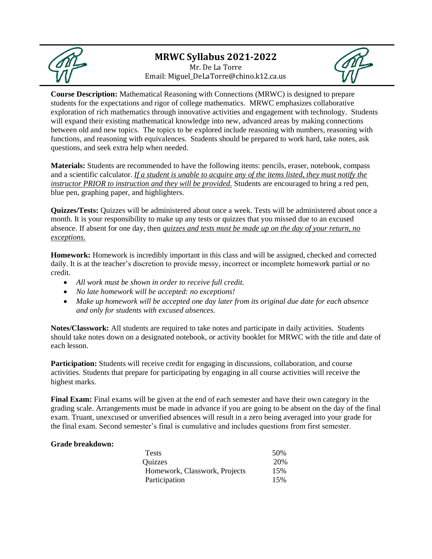

## **MRWC Syllabus 2021-2022** Mr. De La Torre Email: Miguel\_DeLaTorre@chino.k12.ca.us



**Course Description:** Mathematical Reasoning with Connections (MRWC) is designed to prepare students for the expectations and rigor of college mathematics. MRWC emphasizes collaborative exploration of rich mathematics through innovative activities and engagement with technology. Students will expand their existing mathematical knowledge into new, advanced areas by making connections between old and new topics. The topics to be explored include reasoning with numbers, reasoning with functions, and reasoning with equivalences. Students should be prepared to work hard, take notes, ask questions, and seek extra help when needed.

**Materials:** Students are recommended to have the following items: pencils, eraser, notebook, compass and a scientific calculator. *If a student is unable to acquire any of the items listed, they must notify the instructor PRIOR to instruction and they will be provided.* Students are encouraged to bring a red pen, blue pen, graphing paper, and highlighters.

**Quizzes/Tests:** Quizzes will be administered about once a week. Tests will be administered about once a month. It is your responsibility to make up any tests or quizzes that you missed due to an excused absence. If absent for one day, then *quizzes and tests must be made up on the day of your return, no exceptions.*

**Homework:** Homework is incredibly important in this class and will be assigned, checked and corrected daily. It is at the teacher's discretion to provide messy, incorrect or incomplete homework partial or no credit.

- *All work must be shown in order to receive full credit.*
- *No late homework will be accepted: no exceptions!*
- *Make up homework will be accepted one day later from its original due date for each absence and only for students with excused absences.*

**Notes/Classwork:** All students are required to take notes and participate in daily activities. Students should take notes down on a designated notebook, or activity booklet for MRWC with the title and date of each lesson.

**Participation:** Students will receive credit for engaging in discussions, collaboration, and course activities. Students that prepare for participating by engaging in all course activities will receive the highest marks.

**Final Exam:** Final exams will be given at the end of each semester and have their own category in the grading scale. Arrangements must be made in advance if you are going to be absent on the day of the final exam. Truant, unexcused or unverified absences will result in a zero being averaged into your grade for the final exam. Second semester's final is cumulative and includes questions from first semester.

## **Grade breakdown:**

| <b>Tests</b>                  | 50% |
|-------------------------------|-----|
| Quizzes                       | 20% |
| Homework, Classwork, Projects | 15% |
| Participation                 | 15% |